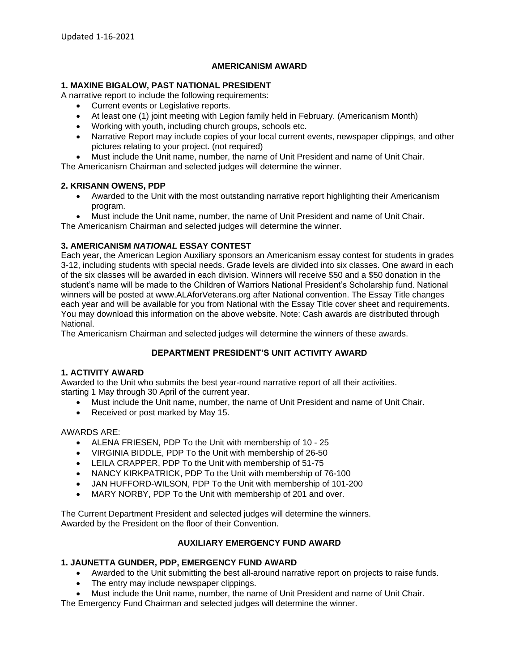## **AMERICANISM AWARD**

## **1. MAXINE BIGALOW, PAST NATIONAL PRESIDENT**

A narrative report to include the following requirements:

- Current events or Legislative reports.
- At least one (1) joint meeting with Legion family held in February. (Americanism Month)
- Working with youth, including church groups, schools etc.
- Narrative Report may include copies of your local current events, newspaper clippings, and other pictures relating to your project. (not required)
- Must include the Unit name, number, the name of Unit President and name of Unit Chair.

The Americanism Chairman and selected judges will determine the winner.

## **2. KRISANN OWENS, PDP**

- Awarded to the Unit with the most outstanding narrative report highlighting their Americanism program.
- Must include the Unit name, number, the name of Unit President and name of Unit Chair.

The Americanism Chairman and selected judges will determine the winner.

## **3. AMERICANISM** *NATIONAL* **ESSAY CONTEST**

Each year, the American Legion Auxiliary sponsors an Americanism essay contest for students in grades 3-12, including students with special needs. Grade levels are divided into six classes. One award in each of the six classes will be awarded in each division. Winners will receive \$50 and a \$50 donation in the student's name will be made to the Children of Warriors National President's Scholarship fund. National winners will be posted at www.ALAforVeterans.org after National convention. The Essay Title changes each year and will be available for you from National with the Essay Title cover sheet and requirements. You may download this information on the above website. Note: Cash awards are distributed through **National** 

The Americanism Chairman and selected judges will determine the winners of these awards.

# **DEPARTMENT PRESIDENT'S UNIT ACTIVITY AWARD**

## **1. ACTIVITY AWARD**

Awarded to the Unit who submits the best year-round narrative report of all their activities. starting 1 May through 30 April of the current year.

- Must include the Unit name, number, the name of Unit President and name of Unit Chair.
- Received or post marked by May 15.

#### AWARDS ARE:

- ALENA FRIESEN, PDP To the Unit with membership of 10 25
- VIRGINIA BIDDLE, PDP To the Unit with membership of 26-50
- LEILA CRAPPER, PDP To the Unit with membership of 51-75
- NANCY KIRKPATRICK, PDP To the Unit with membership of 76-100
- JAN HUFFORD-WILSON, PDP To the Unit with membership of 101-200
- MARY NORBY, PDP To the Unit with membership of 201 and over.

The Current Department President and selected judges will determine the winners. Awarded by the President on the floor of their Convention.

## **AUXILIARY EMERGENCY FUND AWARD**

## **1. JAUNETTA GUNDER, PDP, EMERGENCY FUND AWARD**

- Awarded to the Unit submitting the best all-around narrative report on projects to raise funds.
- The entry may include newspaper clippings.
- Must include the Unit name, number, the name of Unit President and name of Unit Chair.

The Emergency Fund Chairman and selected judges will determine the winner.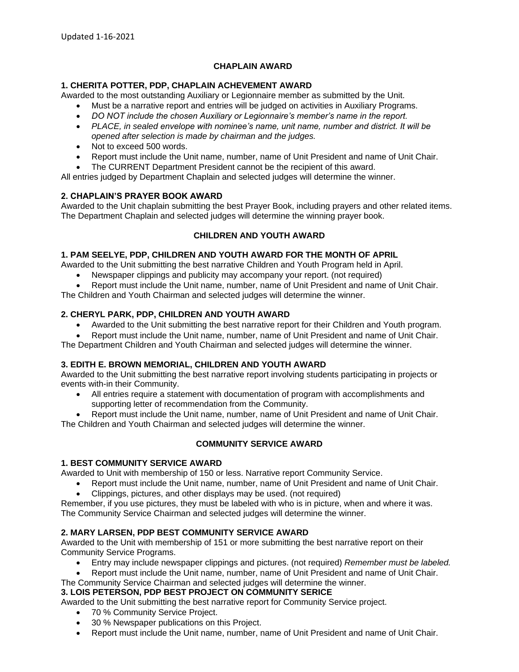## **CHAPLAIN AWARD**

### **1. CHERITA POTTER, PDP, CHAPLAIN ACHEVEMENT AWARD**

Awarded to the most outstanding Auxiliary or Legionnaire member as submitted by the Unit.

- Must be a narrative report and entries will be judged on activities in Auxiliary Programs.
- *DO NOT include the chosen Auxiliary or Legionnaire's member's name in the report.*
- *PLACE, in sealed envelope with nominee's name, unit name, number and district. It will be opened after selection is made by chairman and the judges.*
- Not to exceed 500 words.
- Report must include the Unit name, number, name of Unit President and name of Unit Chair.
- The CURRENT Department President cannot be the recipient of this award.

All entries judged by Department Chaplain and selected judges will determine the winner.

### **2. CHAPLAIN'S PRAYER BOOK AWARD**

Awarded to the Unit chaplain submitting the best Prayer Book, including prayers and other related items. The Department Chaplain and selected judges will determine the winning prayer book.

## **CHILDREN AND YOUTH AWARD**

### **1. PAM SEELYE, PDP, CHILDREN AND YOUTH AWARD FOR THE MONTH OF APRIL**

Awarded to the Unit submitting the best narrative Children and Youth Program held in April.

- Newspaper clippings and publicity may accompany your report. (not required)
- Report must include the Unit name, number, name of Unit President and name of Unit Chair. The Children and Youth Chairman and selected judges will determine the winner.

## **2. CHERYL PARK, PDP, CHILDREN AND YOUTH AWARD**

- Awarded to the Unit submitting the best narrative report for their Children and Youth program.
- Report must include the Unit name, number, name of Unit President and name of Unit Chair.

The Department Children and Youth Chairman and selected judges will determine the winner.

### **3. EDITH E. BROWN MEMORIAL, CHILDREN AND YOUTH AWARD**

Awarded to the Unit submitting the best narrative report involving students participating in projects or events with-in their Community.

• All entries require a statement with documentation of program with accomplishments and supporting letter of recommendation from the Community.

• Report must include the Unit name, number, name of Unit President and name of Unit Chair. The Children and Youth Chairman and selected judges will determine the winner.

## **COMMUNITY SERVICE AWARD**

#### **1. BEST COMMUNITY SERVICE AWARD**

Awarded to Unit with membership of 150 or less. Narrative report Community Service.

• Report must include the Unit name, number, name of Unit President and name of Unit Chair.

• Clippings, pictures, and other displays may be used. (not required)

Remember, if you use pictures, they must be labeled with who is in picture, when and where it was. The Community Service Chairman and selected judges will determine the winner.

## **2. MARY LARSEN, PDP BEST COMMUNITY SERVICE AWARD**

Awarded to the Unit with membership of 151 or more submitting the best narrative report on their Community Service Programs.

- Entry may include newspaper clippings and pictures. (not required) *Remember must be labeled.*
- Report must include the Unit name, number, name of Unit President and name of Unit Chair.
- The Community Service Chairman and selected judges will determine the winner.

## **3. LOIS PETERSON, PDP BEST PROJECT ON COMMUNITY SERICE**

Awarded to the Unit submitting the best narrative report for Community Service project.

- 70 % Community Service Project.
- 30 % Newspaper publications on this Project.
- Report must include the Unit name, number, name of Unit President and name of Unit Chair.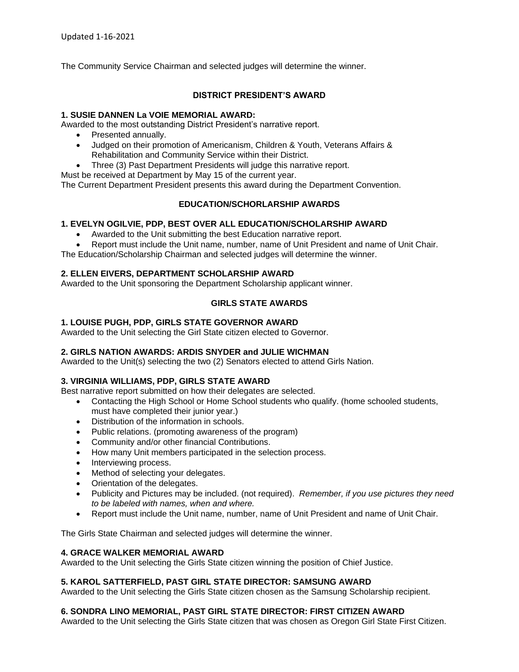The Community Service Chairman and selected judges will determine the winner.

# **DISTRICT PRESIDENT'S AWARD**

### **1. SUSIE DANNEN La VOIE MEMORIAL AWARD:**

Awarded to the most outstanding District President's narrative report.

- Presented annually.
- Judged on their promotion of Americanism, Children & Youth, Veterans Affairs & Rehabilitation and Community Service within their District.
- Three (3) Past Department Presidents will judge this narrative report.
- Must be received at Department by May 15 of the current year.

The Current Department President presents this award during the Department Convention.

## **EDUCATION/SCHORLARSHIP AWARDS**

### **1. EVELYN OGILVIE, PDP, BEST OVER ALL EDUCATION/SCHOLARSHIP AWARD**

- Awarded to the Unit submitting the best Education narrative report.
- Report must include the Unit name, number, name of Unit President and name of Unit Chair.

The Education/Scholarship Chairman and selected judges will determine the winner.

### **2. ELLEN EIVERS, DEPARTMENT SCHOLARSHIP AWARD**

Awarded to the Unit sponsoring the Department Scholarship applicant winner.

# **GIRLS STATE AWARDS**

### **1. LOUISE PUGH, PDP, GIRLS STATE GOVERNOR AWARD**

Awarded to the Unit selecting the Girl State citizen elected to Governor.

## **2. GIRLS NATION AWARDS: ARDIS SNYDER and JULIE WICHMAN**

Awarded to the Unit(s) selecting the two (2) Senators elected to attend Girls Nation.

#### **3. VIRGINIA WILLIAMS, PDP, GIRLS STATE AWARD**

Best narrative report submitted on how their delegates are selected.

- Contacting the High School or Home School students who qualify. (home schooled students, must have completed their junior year.)
- Distribution of the information in schools.
- Public relations. (promoting awareness of the program)
- Community and/or other financial Contributions.
- How many Unit members participated in the selection process.
- Interviewing process.
- Method of selecting your delegates.
- Orientation of the delegates.
- Publicity and Pictures may be included. (not required). *Remember, if you use pictures they need to be labeled with names, when and where.*
- Report must include the Unit name, number, name of Unit President and name of Unit Chair.

The Girls State Chairman and selected judges will determine the winner.

### **4. GRACE WALKER MEMORIAL AWARD**

Awarded to the Unit selecting the Girls State citizen winning the position of Chief Justice.

## **5. KAROL SATTERFIELD, PAST GIRL STATE DIRECTOR: SAMSUNG AWARD**

Awarded to the Unit selecting the Girls State citizen chosen as the Samsung Scholarship recipient.

## **6. SONDRA LINO MEMORIAL, PAST GIRL STATE DIRECTOR: FIRST CITIZEN AWARD**

Awarded to the Unit selecting the Girls State citizen that was chosen as Oregon Girl State First Citizen.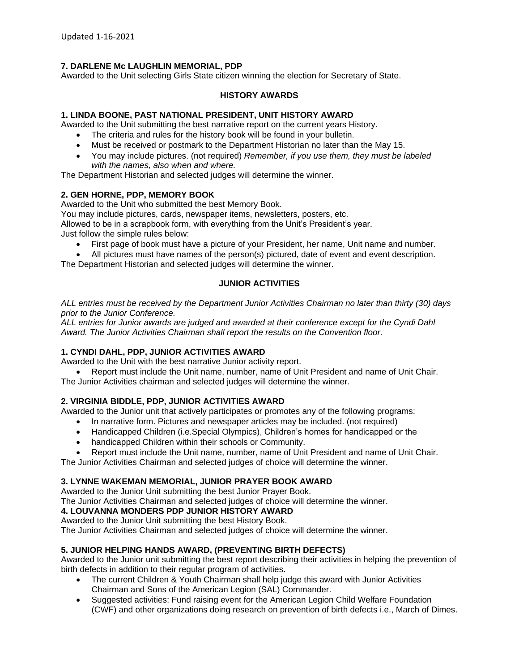# **7. DARLENE Mc LAUGHLIN MEMORIAL, PDP**

Awarded to the Unit selecting Girls State citizen winning the election for Secretary of State.

## **HISTORY AWARDS**

## **1. LINDA BOONE, PAST NATIONAL PRESIDENT, UNIT HISTORY AWARD**

Awarded to the Unit submitting the best narrative report on the current years History.

- The criteria and rules for the history book will be found in your bulletin.
- Must be received or postmark to the Department Historian no later than the May 15.
- You may include pictures. (not required) *Remember, if you use them, they must be labeled with the names, also when and where.*

The Department Historian and selected judges will determine the winner.

### **2. GEN HORNE, PDP, MEMORY BOOK**

Awarded to the Unit who submitted the best Memory Book.

You may include pictures, cards, newspaper items, newsletters, posters, etc.

Allowed to be in a scrapbook form, with everything from the Unit's President's year.

Just follow the simple rules below:

- First page of book must have a picture of your President, her name, Unit name and number.
- All pictures must have names of the person(s) pictured, date of event and event description.

The Department Historian and selected judges will determine the winner.

## **JUNIOR ACTIVITIES**

*ALL entries must be received by the Department Junior Activities Chairman no later than thirty (30) days prior to the Junior Conference.*

*ALL entries for Junior awards are judged and awarded at their conference except for the Cyndi Dahl Award. The Junior Activities Chairman shall report the results on the Convention floor.*

## **1. CYNDI DAHL, PDP, JUNIOR ACTIVITIES AWARD**

Awarded to the Unit with the best narrative Junior activity report.

• Report must include the Unit name, number, name of Unit President and name of Unit Chair. The Junior Activities chairman and selected judges will determine the winner.

## **2. VIRGINIA BIDDLE, PDP, JUNIOR ACTIVITIES AWARD**

Awarded to the Junior unit that actively participates or promotes any of the following programs:

- In narrative form. Pictures and newspaper articles may be included. (not required)
- Handicapped Children (i.e.Special Olympics), Children's homes for handicapped or the
- handicapped Children within their schools or Community.
- Report must include the Unit name, number, name of Unit President and name of Unit Chair.

The Junior Activities Chairman and selected judges of choice will determine the winner.

## **3. LYNNE WAKEMAN MEMORIAL, JUNIOR PRAYER BOOK AWARD**

Awarded to the Junior Unit submitting the best Junior Prayer Book.

The Junior Activities Chairman and selected judges of choice will determine the winner.

## **4. LOUVANNA MONDERS PDP JUNIOR HISTORY AWARD**

Awarded to the Junior Unit submitting the best History Book.

The Junior Activities Chairman and selected judges of choice will determine the winner.

## **5. JUNIOR HELPING HANDS AWARD, (PREVENTING BIRTH DEFECTS)**

Awarded to the Junior unit submitting the best report describing their activities in helping the prevention of birth defects in addition to their regular program of activities.

- The current Children & Youth Chairman shall help judge this award with Junior Activities Chairman and Sons of the American Legion (SAL) Commander.
- Suggested activities: Fund raising event for the American Legion Child Welfare Foundation (CWF) and other organizations doing research on prevention of birth defects i.e., March of Dimes.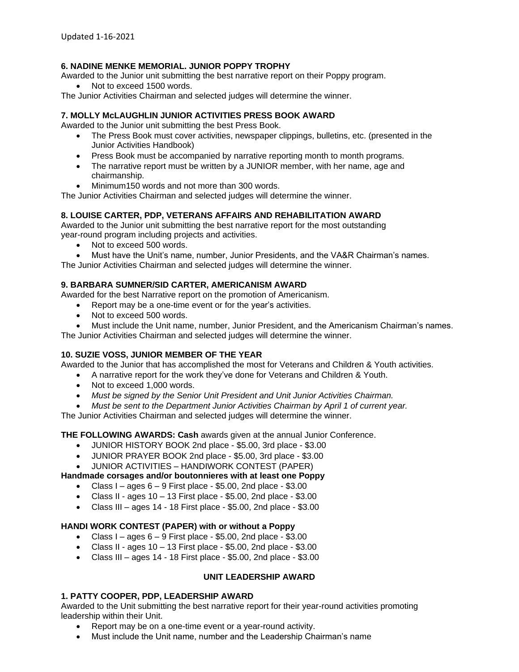## **6. NADINE MENKE MEMORIAL. JUNIOR POPPY TROPHY**

Awarded to the Junior unit submitting the best narrative report on their Poppy program.

Not to exceed 1500 words.

The Junior Activities Chairman and selected judges will determine the winner.

# **7. MOLLY McLAUGHLIN JUNIOR ACTIVITIES PRESS BOOK AWARD**

Awarded to the Junior unit submitting the best Press Book.

- The Press Book must cover activities, newspaper clippings, bulletins, etc. (presented in the Junior Activities Handbook)
- Press Book must be accompanied by narrative reporting month to month programs.
- The narrative report must be written by a JUNIOR member, with her name, age and chairmanship.
- Minimum150 words and not more than 300 words.

The Junior Activities Chairman and selected judges will determine the winner.

### **8. LOUISE CARTER, PDP, VETERANS AFFAIRS AND REHABILITATION AWARD**

Awarded to the Junior unit submitting the best narrative report for the most outstanding year-round program including projects and activities.

- Not to exceed 500 words.
- Must have the Unit's name, number, Junior Presidents, and the VA&R Chairman's names.

The Junior Activities Chairman and selected judges will determine the winner.

## **9. BARBARA SUMNER/SID CARTER, AMERICANISM AWARD**

Awarded for the best Narrative report on the promotion of Americanism.

- Report may be a one-time event or for the year's activities.
- Not to exceed 500 words.
- Must include the Unit name, number, Junior President, and the Americanism Chairman's names.

The Junior Activities Chairman and selected judges will determine the winner.

## **10. SUZIE VOSS, JUNIOR MEMBER OF THE YEAR**

Awarded to the Junior that has accomplished the most for Veterans and Children & Youth activities.

- A narrative report for the work they've done for Veterans and Children & Youth.
- Not to exceed 1,000 words.
- *Must be signed by the Senior Unit President and Unit Junior Activities Chairman.*
- *Must be sent to the Department Junior Activities Chairman by April 1 of current year.*

The Junior Activities Chairman and selected judges will determine the winner.

**THE FOLLOWING AWARDS: Cash** awards given at the annual Junior Conference.

- JUNIOR HISTORY BOOK 2nd place \$5.00, 3rd place \$3.00
- JUNIOR PRAYER BOOK 2nd place \$5.00, 3rd place \$3.00

• JUNIOR ACTIVITIES – HANDIWORK CONTEST (PAPER)

#### **Handmade corsages and/or boutonnieres with at least one Poppy**

- Class I ages  $6 9$  First place \$5.00, 2nd place \$3.00
- Class II ages  $10 13$  First place \$5.00, 2nd place \$3.00
- Class III ages 14 18 First place \$5.00, 2nd place \$3.00

## **HANDI WORK CONTEST (PAPER) with or without a Poppy**

- Class I ages  $6 9$  First place \$5.00, 2nd place \$3.00
- Class II ages  $10 13$  First place \$5.00, 2nd place \$3.00
- Class III ages 14 18 First place \$5.00, 2nd place \$3.00

## **UNIT LEADERSHIP AWARD**

## **1. PATTY COOPER, PDP, LEADERSHIP AWARD**

Awarded to the Unit submitting the best narrative report for their year-round activities promoting leadership within their Unit.

- Report may be on a one-time event or a year-round activity.
- Must include the Unit name, number and the Leadership Chairman's name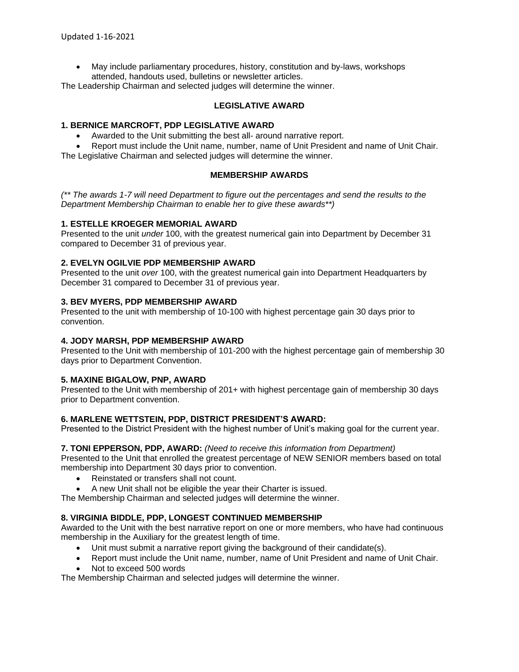• May include parliamentary procedures, history, constitution and by-laws, workshops attended, handouts used, bulletins or newsletter articles.

The Leadership Chairman and selected judges will determine the winner.

### **LEGISLATIVE AWARD**

### **1. BERNICE MARCROFT, PDP LEGISLATIVE AWARD**

• Awarded to the Unit submitting the best all- around narrative report.

• Report must include the Unit name, number, name of Unit President and name of Unit Chair. The Legislative Chairman and selected judges will determine the winner.

## **MEMBERSHIP AWARDS**

*(\*\* The awards 1-7 will need Department to figure out the percentages and send the results to the Department Membership Chairman to enable her to give these awards\*\*)*

### **1. ESTELLE KROEGER MEMORIAL AWARD**

Presented to the unit *under* 100, with the greatest numerical gain into Department by December 31 compared to December 31 of previous year.

### **2. EVELYN OGILVIE PDP MEMBERSHIP AWARD**

Presented to the unit *over* 100, with the greatest numerical gain into Department Headquarters by December 31 compared to December 31 of previous year.

### **3. BEV MYERS, PDP MEMBERSHIP AWARD**

Presented to the unit with membership of 10-100 with highest percentage gain 30 days prior to convention.

### **4. JODY MARSH, PDP MEMBERSHIP AWARD**

Presented to the Unit with membership of 101-200 with the highest percentage gain of membership 30 days prior to Department Convention.

#### **5. MAXINE BIGALOW, PNP, AWARD**

Presented to the Unit with membership of 201+ with highest percentage gain of membership 30 days prior to Department convention.

#### **6. MARLENE WETTSTEIN, PDP, DISTRICT PRESIDENT'S AWARD:**

Presented to the District President with the highest number of Unit's making goal for the current year.

#### **7. TONI EPPERSON, PDP, AWARD:** *(Need to receive this information from Department)*

Presented to the Unit that enrolled the greatest percentage of NEW SENIOR members based on total membership into Department 30 days prior to convention.

- Reinstated or transfers shall not count.
- A new Unit shall not be eligible the year their Charter is issued.

The Membership Chairman and selected judges will determine the winner.

## **8. VIRGINIA BIDDLE, PDP, LONGEST CONTINUED MEMBERSHIP**

Awarded to the Unit with the best narrative report on one or more members, who have had continuous membership in the Auxiliary for the greatest length of time.

- Unit must submit a narrative report giving the background of their candidate(s).
- Report must include the Unit name, number, name of Unit President and name of Unit Chair.
- Not to exceed 500 words

The Membership Chairman and selected judges will determine the winner.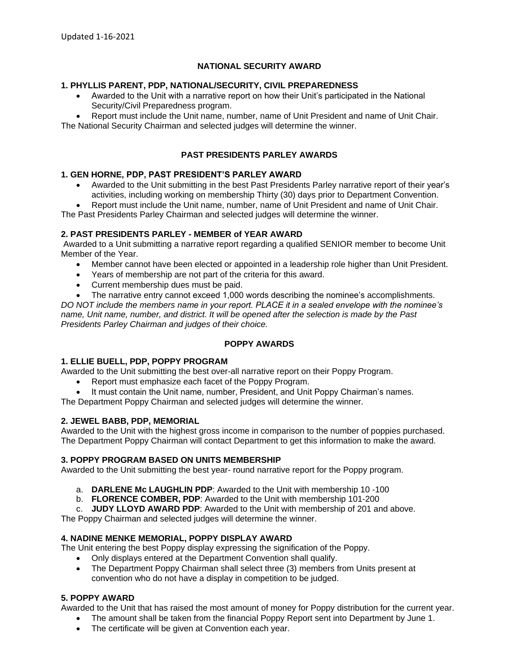## **NATIONAL SECURITY AWARD**

### **1. PHYLLIS PARENT, PDP, NATIONAL/SECURITY, CIVIL PREPAREDNESS**

- Awarded to the Unit with a narrative report on how their Unit's participated in the National Security/Civil Preparedness program.
- Report must include the Unit name, number, name of Unit President and name of Unit Chair. The National Security Chairman and selected judges will determine the winner.

### **PAST PRESIDENTS PARLEY AWARDS**

#### **1. GEN HORNE, PDP, PAST PRESIDENT'S PARLEY AWARD**

- Awarded to the Unit submitting in the best Past Presidents Parley narrative report of their year's activities, including working on membership Thirty (30) days prior to Department Convention.
- Report must include the Unit name, number, name of Unit President and name of Unit Chair.

The Past Presidents Parley Chairman and selected judges will determine the winner.

### **2. PAST PRESIDENTS PARLEY - MEMBER of YEAR AWARD**

Awarded to a Unit submitting a narrative report regarding a qualified SENIOR member to become Unit Member of the Year.

- Member cannot have been elected or appointed in a leadership role higher than Unit President.
- Years of membership are not part of the criteria for this award.
- Current membership dues must be paid.
- The narrative entry cannot exceed 1,000 words describing the nominee's accomplishments.

*DO NOT include the members name in your report. PLACE it in a sealed envelope with the nominee's name, Unit name, number, and district. It will be opened after the selection is made by the Past Presidents Parley Chairman and judges of their choice.*

#### **POPPY AWARDS**

#### **1. ELLIE BUELL, PDP, POPPY PROGRAM**

Awarded to the Unit submitting the best over-all narrative report on their Poppy Program.

- Report must emphasize each facet of the Poppy Program.
- It must contain the Unit name, number, President, and Unit Poppy Chairman's names.
- The Department Poppy Chairman and selected judges will determine the winner.

#### **2. JEWEL BABB, PDP, MEMORIAL**

Awarded to the Unit with the highest gross income in comparison to the number of poppies purchased. The Department Poppy Chairman will contact Department to get this information to make the award.

#### **3. POPPY PROGRAM BASED ON UNITS MEMBERSHIP**

Awarded to the Unit submitting the best year- round narrative report for the Poppy program.

- a. **DARLENE Mc LAUGHLIN PDP**: Awarded to the Unit with membership 10 -100
- b. **FLORENCE COMBER, PDP**: Awarded to the Unit with membership 101-200
- c. **JUDY LLOYD AWARD PDP**: Awarded to the Unit with membership of 201 and above.

The Poppy Chairman and selected judges will determine the winner.

## **4. NADINE MENKE MEMORIAL, POPPY DISPLAY AWARD**

The Unit entering the best Poppy display expressing the signification of the Poppy.

- Only displays entered at the Department Convention shall qualify.
- The Department Poppy Chairman shall select three (3) members from Units present at convention who do not have a display in competition to be judged.

### **5. POPPY AWARD**

Awarded to the Unit that has raised the most amount of money for Poppy distribution for the current year.

- The amount shall be taken from the financial Poppy Report sent into Department by June 1.
- The certificate will be given at Convention each year.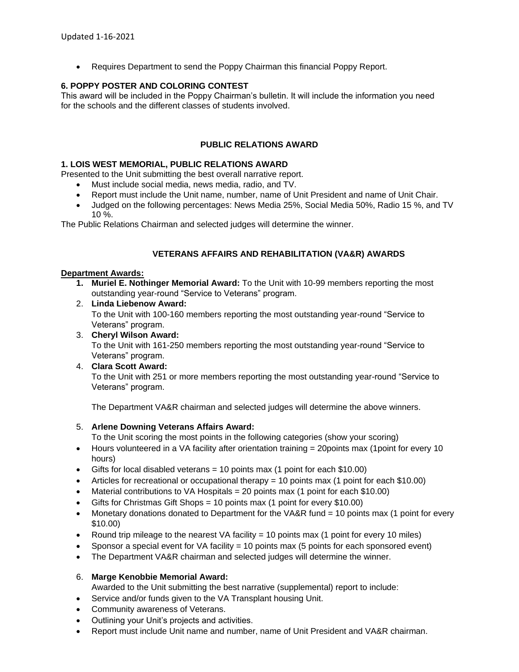• Requires Department to send the Poppy Chairman this financial Poppy Report.

## **6. POPPY POSTER AND COLORING CONTEST**

This award will be included in the Poppy Chairman's bulletin. It will include the information you need for the schools and the different classes of students involved.

# **PUBLIC RELATIONS AWARD**

### **1. LOIS WEST MEMORIAL, PUBLIC RELATIONS AWARD**

Presented to the Unit submitting the best overall narrative report.

- Must include social media, news media, radio, and TV.
- Report must include the Unit name, number, name of Unit President and name of Unit Chair.
- Judged on the following percentages: News Media 25%, Social Media 50%, Radio 15 %, and TV 10 %.

The Public Relations Chairman and selected judges will determine the winner.

### **VETERANS AFFAIRS AND REHABILITATION (VA&R) AWARDS**

#### **Department Awards:**

- **1. Muriel E. Nothinger Memorial Award:** To the Unit with 10-99 members reporting the most outstanding year-round "Service to Veterans" program.
- 2. **Linda Liebenow Award:**  To the Unit with 100-160 members reporting the most outstanding year-round "Service to Veterans" program.
- 3. **Cheryl Wilson Award:**  To the Unit with 161-250 members reporting the most outstanding year-round "Service to Veterans" program.

## 4. **Clara Scott Award:**

To the Unit with 251 or more members reporting the most outstanding year-round "Service to Veterans" program.

The Department VA&R chairman and selected judges will determine the above winners.

#### 5. **Arlene Downing Veterans Affairs Award:**

To the Unit scoring the most points in the following categories (show your scoring)

- Hours volunteered in a VA facility after orientation training = 20 points max (1 point for every 10 hours)
- Gifts for local disabled veterans  $=$  10 points max (1 point for each \$10.00)
- Articles for recreational or occupational therapy  $= 10$  points max (1 point for each \$10.00)
- Material contributions to VA Hospitals = 20 points max (1 point for each \$10.00)
- Gifts for Christmas Gift Shops = 10 points max (1 point for every \$10.00)
- Monetary donations donated to Department for the VA&R fund = 10 points max (1 point for every \$10.00)
- Round trip mileage to the nearest VA facility  $= 10$  points max (1 point for every 10 miles)
- Sponsor a special event for VA facility = 10 points max (5 points for each sponsored event)
- The Department VA&R chairman and selected judges will determine the winner.

#### 6. **Marge Kenobbie Memorial Award:**

- Awarded to the Unit submitting the best narrative (supplemental) report to include:
- Service and/or funds given to the VA Transplant housing Unit.
- Community awareness of Veterans.
- Outlining your Unit's projects and activities.
- Report must include Unit name and number, name of Unit President and VA&R chairman.